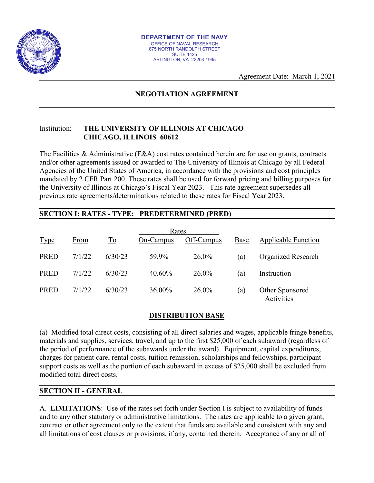

Agreement Date: March 1, 2021

# **NEGOTIATION AGREEMENT**

#### Institution: **THE UNIVERSITY OF ILLINOIS AT CHICAGO CHICAGO, ILLINOIS 60612**

The Facilities & Administrative (F&A) cost rates contained herein are for use on grants, contracts and/or other agreements issued or awarded to The University of Illinois at Chicago by all Federal Agencies of the United States of America, in accordance with the provisions and cost principles mandated by 2 CFR Part 200. These rates shall be used for forward pricing and billing purposes for the University of Illinois at Chicago's Fiscal Year 2023. This rate agreement supersedes all previous rate agreements/determinations related to these rates for Fiscal Year 2023.

### **SECTION I: RATES - TYPE: PREDETERMINED (PRED)**

| Rates       |        |                                 |           |            |      |                               |
|-------------|--------|---------------------------------|-----------|------------|------|-------------------------------|
| <b>Type</b> | From   | $\underline{\operatorname{To}}$ | On-Campus | Off-Campus | Base | <b>Applicable Function</b>    |
| <b>PRED</b> | 7/1/22 | 6/30/23                         | 59.9%     | 26.0%      | (a)  | <b>Organized Research</b>     |
| <b>PRED</b> | 7/1/22 | 6/30/23                         | 40.60%    | $26.0\%$   | (a)  | Instruction                   |
| <b>PRED</b> | 7/1/22 | 6/30/23                         | 36.00%    | 26.0%      | (a)  | Other Sponsored<br>Activities |

### **DISTRIBUTION BASE**

(a) Modified total direct costs, consisting of all direct salaries and wages, applicable fringe benefits, materials and supplies, services, travel, and up to the first \$25,000 of each subaward (regardless of the period of performance of the subawards under the award). Equipment, capital expenditures, charges for patient care, rental costs, tuition remission, scholarships and fellowships, participant support costs as well as the portion of each subaward in excess of \$25,000 shall be excluded from modified total direct costs.

### **SECTION II - GENERAL**

A. **LIMITATIONS**: Use of the rates set forth under Section I is subject to availability of funds and to any other statutory or administrative limitations. The rates are applicable to a given grant, contract or other agreement only to the extent that funds are available and consistent with any and all limitations of cost clauses or provisions, if any, contained therein. Acceptance of any or all of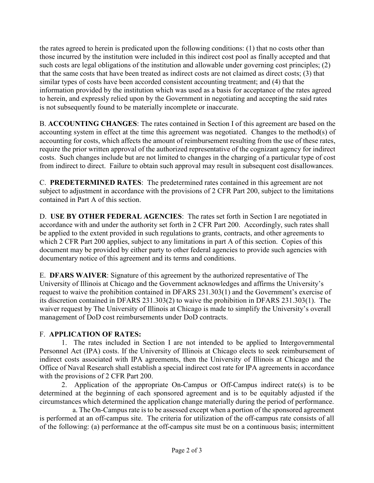the rates agreed to herein is predicated upon the following conditions: (1) that no costs other than those incurred by the institution were included in this indirect cost pool as finally accepted and that such costs are legal obligations of the institution and allowable under governing cost principles; (2) that the same costs that have been treated as indirect costs are not claimed as direct costs; (3) that similar types of costs have been accorded consistent accounting treatment; and (4) that the information provided by the institution which was used as a basis for acceptance of the rates agreed to herein, and expressly relied upon by the Government in negotiating and accepting the said rates is not subsequently found to be materially incomplete or inaccurate.

B. **ACCOUNTING CHANGES**: The rates contained in Section I of this agreement are based on the accounting system in effect at the time this agreement was negotiated. Changes to the method(s) of accounting for costs, which affects the amount of reimbursement resulting from the use of these rates, require the prior written approval of the authorized representative of the cognizant agency for indirect costs. Such changes include but are not limited to changes in the charging of a particular type of cost from indirect to direct. Failure to obtain such approval may result in subsequent cost disallowances.

C. **PREDETERMINED RATES**: The predetermined rates contained in this agreement are not subject to adjustment in accordance with the provisions of 2 CFR Part 200, subject to the limitations contained in Part A of this section.

D. **USE BY OTHER FEDERAL AGENCIES**: The rates set forth in Section I are negotiated in accordance with and under the authority set forth in 2 CFR Part 200. Accordingly, such rates shall be applied to the extent provided in such regulations to grants, contracts, and other agreements to which 2 CFR Part 200 applies, subject to any limitations in part A of this section. Copies of this document may be provided by either party to other federal agencies to provide such agencies with documentary notice of this agreement and its terms and conditions.

E. **DFARS WAIVER**: Signature of this agreement by the authorized representative of The University of Illinois at Chicago and the Government acknowledges and affirms the University's request to waive the prohibition contained in DFARS 231.303(1) and the Government's exercise of its discretion contained in DFARS 231.303(2) to waive the prohibition in DFARS 231.303(1). The waiver request by The University of Illinois at Chicago is made to simplify the University's overall management of DoD cost reimbursements under DoD contracts.

## F. **APPLICATION OF RATES:**

1. The rates included in Section I are not intended to be applied to Intergovernmental Personnel Act (IPA) costs. If the University of Illinois at Chicago elects to seek reimbursement of indirect costs associated with IPA agreements, then the University of Illinois at Chicago and the Office of Naval Research shall establish a special indirect cost rate for IPA agreements in accordance with the provisions of 2 CFR Part 200.

 2. Application of the appropriate On-Campus or Off-Campus indirect rate(s) is to be determined at the beginning of each sponsored agreement and is to be equitably adjusted if the circumstances which determined the application change materially during the period of performance.

 a. The On-Campus rate is to be assessed except when a portion of the sponsored agreement is performed at an off-campus site. The criteria for utilization of the off-campus rate consists of all of the following: (a) performance at the off-campus site must be on a continuous basis; intermittent